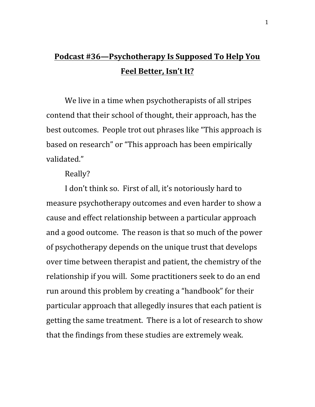## **Podcast #36—Psychotherapy Is Supposed To Help You Feel Better, Isn't It?**

We live in a time when psychotherapists of all stripes contend that their school of thought, their approach, has the best outcomes. People trot out phrases like "This approach is based on research" or "This approach has been empirically validated."

Really?

I don't think so. First of all, it's notoriously hard to measure psychotherapy outcomes and even harder to show a cause and effect relationship between a particular approach and a good outcome. The reason is that so much of the power of psychotherapy depends on the unique trust that develops over time between therapist and patient, the chemistry of the relationship if you will. Some practitioners seek to do an end run around this problem by creating a "handbook" for their particular approach that allegedly insures that each patient is getting the same treatment. There is a lot of research to show that the findings from these studies are extremely weak.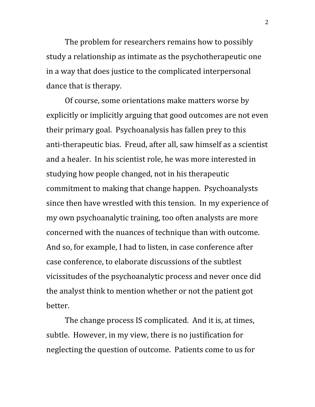The problem for researchers remains how to possibly study a relationship as intimate as the psychotherapeutic one in a way that does justice to the complicated interpersonal dance that is therapy.

Of course, some orientations make matters worse by explicitly or implicitly arguing that good outcomes are not even their primary goal. Psychoanalysis has fallen prey to this anti-therapeutic bias. Freud, after all, saw himself as a scientist and a healer. In his scientist role, he was more interested in studying how people changed, not in his therapeutic commitment to making that change happen. Psychoanalysts since then have wrestled with this tension. In my experience of my own psychoanalytic training, too often analysts are more concerned with the nuances of technique than with outcome. And so, for example, I had to listen, in case conference after case conference, to elaborate discussions of the subtlest vicissitudes of the psychoanalytic process and never once did the analyst think to mention whether or not the patient got better.

The change process IS complicated. And it is, at times, subtle. However, in my view, there is no justification for neglecting the question of outcome. Patients come to us for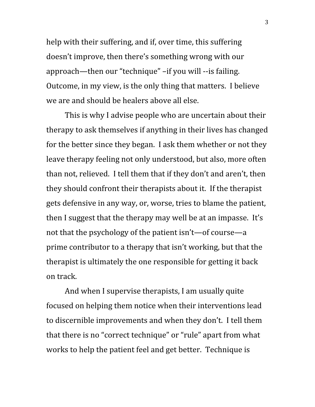help with their suffering, and if, over time, this suffering doesn't improve, then there's something wrong with our approach—then our "technique" –if you will --is failing. Outcome, in my view, is the only thing that matters. I believe we are and should be healers above all else.

This is why I advise people who are uncertain about their therapy to ask themselves if anything in their lives has changed for the better since they began. I ask them whether or not they leave therapy feeling not only understood, but also, more often than not, relieved. I tell them that if they don't and aren't, then they should confront their therapists about it. If the therapist gets defensive in any way, or, worse, tries to blame the patient, then I suggest that the therapy may well be at an impasse. It's not that the psychology of the patient isn't—of course—a prime contributor to a therapy that isn't working, but that the therapist is ultimately the one responsible for getting it back on track.

And when I supervise therapists, I am usually quite focused on helping them notice when their interventions lead to discernible improvements and when they don't. I tell them that there is no "correct technique" or "rule" apart from what works to help the patient feel and get better. Technique is

3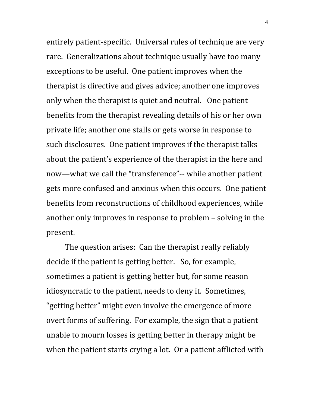entirely patient-specific. Universal rules of technique are very rare. Generalizations about technique usually have too many exceptions to be useful. One patient improves when the therapist is directive and gives advice; another one improves only when the therapist is quiet and neutral. One patient benefits from the therapist revealing details of his or her own private life; another one stalls or gets worse in response to such disclosures. One patient improves if the therapist talks about the patient's experience of the therapist in the here and now—what we call the "transference"-- while another patient gets more confused and anxious when this occurs. One patient benefits from reconstructions of childhood experiences, while another only improves in response to problem – solving in the present.

The question arises: Can the therapist really reliably decide if the patient is getting better. So, for example, sometimes a patient is getting better but, for some reason idiosyncratic to the patient, needs to deny it. Sometimes, "getting better" might even involve the emergence of more overt forms of suffering. For example, the sign that a patient unable to mourn losses is getting better in therapy might be when the patient starts crying a lot. Or a patient afflicted with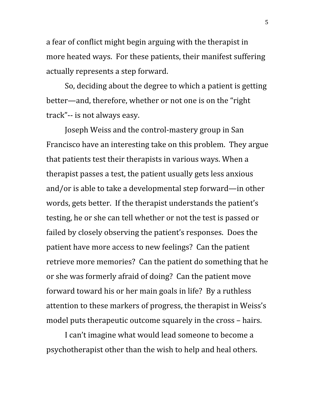a fear of conflict might begin arguing with the therapist in more heated ways. For these patients, their manifest suffering actually represents a step forward.

So, deciding about the degree to which a patient is getting better—and, therefore, whether or not one is on the "right track"-- is not always easy.

Joseph Weiss and the control-mastery group in San Francisco have an interesting take on this problem. They argue that patients test their therapists in various ways. When a therapist passes a test, the patient usually gets less anxious and/or is able to take a developmental step forward—in other words, gets better. If the therapist understands the patient's testing, he or she can tell whether or not the test is passed or failed by closely observing the patient's responses. Does the patient have more access to new feelings? Can the patient retrieve more memories? Can the patient do something that he or she was formerly afraid of doing? Can the patient move forward toward his or her main goals in life? By a ruthless attention to these markers of progress, the therapist in Weiss's model puts therapeutic outcome squarely in the cross – hairs.

I can't imagine what would lead someone to become a psychotherapist other than the wish to help and heal others.